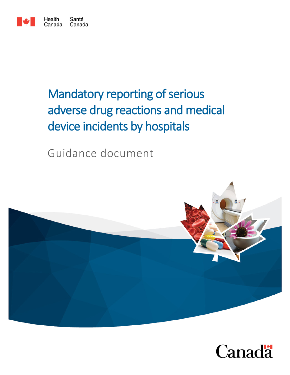

# Mandatory reporting of serious adverse drug reactions and medical device incidents by hospitals

Guidance document



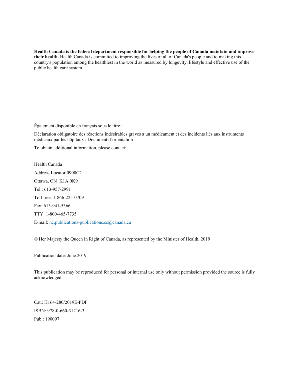**Health Canada is the federal department responsible for helping the people of Canada maintain and improve their health.** Health Canada is committed to improving the lives of all of Canada's people and to making this country's population among the healthiest in the world as measured by longevity, lifestyle and effective use of the public health care system.

Également disponible en français sous le titre :

Déclaration obligatoire des réactions indésirables graves à un médicament et des incidents liés aux instruments médicaux par les hôpitaux : Document d'orientation

To obtain additional information, please contact:

Health Canada Address Locator 0900C2 Ottawa, ON K1A 0K9 Tel.: 613-957-2991 Toll free: 1-866-225-0709 Fax: 613-941-5366 TTY: 1-800-465-7735 E-mail: [hc.publications-publications.sc@canada.ca](mailto:hc.publications-publications.sc@canada.ca)

© Her Majesty the Queen in Right of Canada, as represented by the Minister of Health, 2019

Publication date: June 2019

This publication may be reproduced for personal or internal use only without permission provided the source is fully acknowledged.

Cat.: H164-280/2019E-PDF ISBN: 978-0-660-31216-3 Pub.: 190097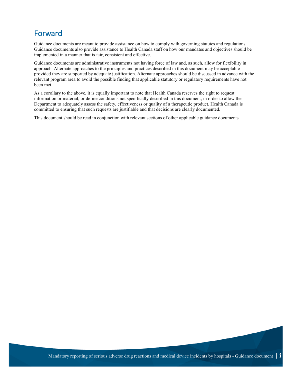## Forward

Guidance documents are meant to provide assistance on how to comply with governing statutes and regulations. Guidance documents also provide assistance to Health Canada staff on how our mandates and objectives should be implemented in a manner that is fair, consistent and effective.

Guidance documents are administrative instruments not having force of law and, as such, allow for flexibility in approach. Alternate approaches to the principles and practices described in this document may be acceptable provided they are supported by adequate justification. Alternate approaches should be discussed in advance with the relevant program area to avoid the possible finding that applicable statutory or regulatory requirements have not been met.

As a corollary to the above, it is equally important to note that Health Canada reserves the right to request information or material, or define conditions not specifically described in this document, in order to allow the Department to adequately assess the safety, effectiveness or quality of a therapeutic product. Health Canada is committed to ensuring that such requests are justifiable and that decisions are clearly documented.

This document should be read in conjunction with relevant sections of other applicable guidance documents.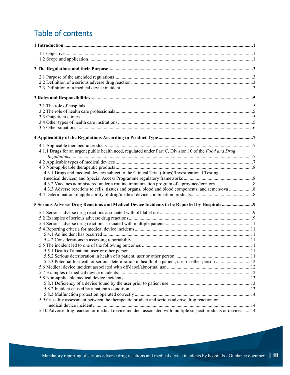## Table of contents

| 4.1.1 Drugs for an urgent public health need, regulated under Part C, Division 10 of the Food and Drug         |  |
|----------------------------------------------------------------------------------------------------------------|--|
|                                                                                                                |  |
|                                                                                                                |  |
|                                                                                                                |  |
| 4.3.1 Drugs and medical devices subject to the Clinical Trial (drugs)/Investigational Testing                  |  |
|                                                                                                                |  |
|                                                                                                                |  |
|                                                                                                                |  |
|                                                                                                                |  |
|                                                                                                                |  |
|                                                                                                                |  |
|                                                                                                                |  |
|                                                                                                                |  |
|                                                                                                                |  |
|                                                                                                                |  |
|                                                                                                                |  |
|                                                                                                                |  |
|                                                                                                                |  |
|                                                                                                                |  |
|                                                                                                                |  |
|                                                                                                                |  |
|                                                                                                                |  |
|                                                                                                                |  |
|                                                                                                                |  |
|                                                                                                                |  |
| 5.9 Causality assessment between the therapeutic product and serious adverse drug reaction or                  |  |
|                                                                                                                |  |
| 5.10 Adverse drug reaction or medical device incident associated with multiple suspect products or devices  14 |  |
|                                                                                                                |  |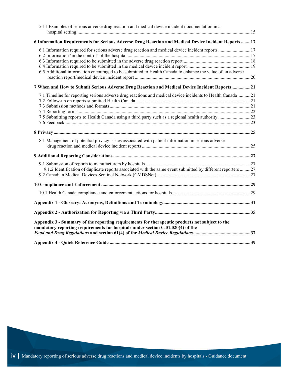| 5.11 Examples of serious adverse drug reaction and medical device incident documentation in a                                                                                     |  |
|-----------------------------------------------------------------------------------------------------------------------------------------------------------------------------------|--|
| 6 Information Requirements for Serious Adverse Drug Reaction and Medical Device Incident Reports 17                                                                               |  |
| 6.1 Information required for serious adverse drug reaction and medical device incident reports17                                                                                  |  |
| 6.5 Additional information encouraged to be submitted to Health Canada to enhance the value of an adverse                                                                         |  |
| 7 When and How to Submit Serious Adverse Drug Reaction and Medical Device Incident Reports21                                                                                      |  |
| 7.1 Timeline for reporting serious adverse drug reactions and medical device incidents to Health Canada21                                                                         |  |
|                                                                                                                                                                                   |  |
| 8.1 Management of potential privacy issues associated with patient information in serious adverse                                                                                 |  |
|                                                                                                                                                                                   |  |
| 9.1.2 Identification of duplicate reports associated with the same event submitted by different reporters 27                                                                      |  |
|                                                                                                                                                                                   |  |
|                                                                                                                                                                                   |  |
|                                                                                                                                                                                   |  |
|                                                                                                                                                                                   |  |
| Appendix 3 - Summary of the reporting requirements for therapeutic products not subject to the<br>mandatory reporting requirements for hospitals under section C.01.020(4) of the |  |
|                                                                                                                                                                                   |  |
|                                                                                                                                                                                   |  |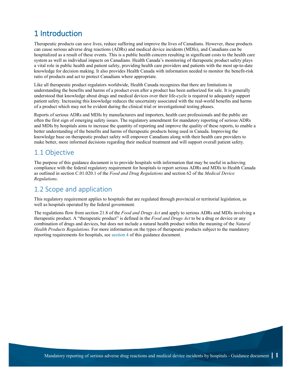## <span id="page-6-0"></span>1 Introduction

Therapeutic products can save lives, reduce suffering and improve the lives of Canadians. However, these products can cause serious adverse drug reactions (ADRs) and medical device incidents (MDIs), and Canadians can be hospitalized as a result of these events. This is a public health concern resulting in significant costs to the health care system as well as individual impacts on Canadians. Health Canada's monitoring of therapeutic product safety plays a vital role in public health and patient safety, providing health care providers and patients with the most up-to-date knowledge for decision making. It also provides Health Canada with information needed to monitor the benefit-risk ratio of products and act to protect Canadians where appropriate.

Like all therapeutic product regulators worldwide, Health Canada recognizes that there are limitations in understanding the benefits and harms of a product even after a product has been authorized for sale. It is generally understood that knowledge about drugs and medical devices over their life-cycle is required to adequately support patient safety. Increasing this knowledge reduces the uncertainty associated with the real-world benefits and harms of a product which may not be evident during the clinical trial or investigational testing phases.

Reports of serious ADRs and MDIs by manufacturers and importers, health care professionals and the public are often the first sign of emerging safety issues. The regulatory amendment for mandatory reporting of serious ADRs and MDIs by hospitals aims to increase the quantity of reporting and improve the quality of these reports, to enable a better understanding of the benefits and harms of therapeutic products being used in Canada. Improving the knowledge base on therapeutic product safety will empower Canadians along with their health care providers to make better, more informed decisions regarding their medical treatment and will support overall patient safety.

#### <span id="page-6-1"></span>1.1 Objective

The purpose of this guidance document is to provide hospitals with information that may be useful in achieving compliance with the federal regulatory requirement for hospitals to report serious ADRs and MDIs to Health Canada as outlined in section C.01.020.1 of the *Food and Drug Regulations* and section 62 of the *Medical Device Regulations*.

### <span id="page-6-2"></span>1.2 Scope and application

This regulatory requirement applies to hospitals that are regulated through provincial or territorial legislation, as well as hospitals operated by the federal government.

The regulations flow from section 21.8 of the *Food and Drugs Act* and apply to serious ADRs and MDIs involving a therapeutic product. A "therapeutic product" is defined in the *Food and Drugs Act* to be a drug or device or any combination of drugs and devices, but does not include a natural health product within the meaning of the *Natural Health Products Regulations*. For more information on the types of therapeutic products subject to the mandatory reporting requirements for hospitals, see [section 4](#page-11-1) of this guidance document.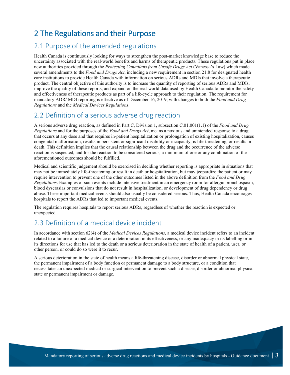## <span id="page-8-0"></span>2 The Regulations and their Purpose

#### <span id="page-8-1"></span>2.1 Purpose of the amended regulations

Health Canada is continuously looking for ways to strengthen the post-market knowledge base to reduce the uncertainty associated with the real-world benefits and harms of therapeutic products. These regulations put in place new authorities provided through the *Protecting Canadians from Unsafe Drugs Act* (Vanessa's Law) which made several amendments to the *Food and Drugs Act*, including a new requirement in section 21.8 for designated health care institutions to provide Health Canada with information on serious ADRs and MDIs that involve a therapeutic product. The central objective of this authority is to increase the quantity of reporting of serious ADRs and MDIs, improve the quality of these reports, and expand on the real-world data used by Health Canada to monitor the safety and effectiveness of therapeutic products as part of a life-cycle approach to their regulation. The requirement for mandatory ADR/ MDI reporting is effective as of December 16, 2019, with changes to both the *Food and Drug Regulations* and the *Medical Devices Regulations*.

#### <span id="page-8-2"></span>2.2 Definition of a serious adverse drug reaction

A serious adverse drug reaction, as defined in Part C, Division 1, subsection C.01.001(1.1) of the *Food and Drug Regulations* and for the purposes of the *Food and Drugs Act*, means a noxious and unintended response to a drug that occurs at any dose and that requires in-patient hospitalization or prolongation of existing hospitalization, causes congenital malformation, results in persistent or significant disability or incapacity, is life-threatening, or results in death. This definition implies that the causal relationship between the drug and the occurrence of the adverse reaction is suspected, and for the reaction to be considered serious, a minimum of one or any combination of the aforementioned outcomes should be fulfilled.

Medical and scientific judgement should be exercised in deciding whether reporting is appropriate in situations that may not be immediately life-threatening or result in death or hospitalization, but may jeopardize the patient or may require intervention to prevent one of the other outcomes listed in the above definition from the *Food and Drug Regulations*. Examples of such events include intensive treatment in an emergency room for allergic bronchospasm, blood dyscrasias or convulsions that do not result in hospitalization, or development of drug dependency or drug abuse. These important medical events should also usually be considered serious. Thus, Health Canada encourages hospitals to report the ADRs that led to important medical events.

The regulation requires hospitals to report serious ADRs, regardless of whether the reaction is expected or unexpected.

### <span id="page-8-3"></span>2.3 Definition of a medical device incident

In accordance with section 62(4) of the *Medical Devices Regulations*, a medical device incident refers to an incident related to a failure of a medical device or a deterioration in its effectiveness, or any inadequacy in its labelling or in its directions for use that has led to the death or a serious deterioration in the state of health of a patient, user, or other person, or could do so were it to recur.

A serious deterioration in the state of health means a life-threatening disease, disorder or abnormal physical state, the permanent impairment of a body function or permanent damage to a body structure, or a condition that necessitates an unexpected medical or surgical intervention to prevent such a disease, disorder or abnormal physical state or permanent impairment or damage.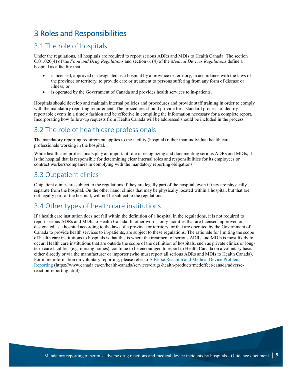## <span id="page-10-0"></span>3 Roles and Responsibilities

#### <span id="page-10-1"></span>3.1 The role of hospitals

Under the regulations*,* all hospitals are required to report serious ADRs and MDIs to Health Canada. The section C.01.020(4) of the *Food and Drug Regulations* and section 61(4) of the *Medical Devices Regulations* define a hospital as a facility that:

- is licensed, approved or designated as a hospital by a province or territory, in accordance with the laws of the province or territory, to provide care or treatment to persons suffering from any form of disease or illness; or
- is operated by the Government of Canada and provides health services to in-patients.

Hospitals should develop and maintain internal policies and procedures and provide staff training in order to comply with the mandatory reporting requirement. The procedures should provide for a standard process to identify reportable events in a timely fashion and be effective in compiling the information necessary for a complete report. Incorporating how follow-up requests from Health Canada will be addressed should be included in the process.

### <span id="page-10-2"></span>3.2 The role of health care professionals

The mandatory reporting requirement applies to the facility (hospital) rather than individual health care professionals working in the hospital.

While health care professionals play an important role in recognizing and documenting serious ADRs and MDIs, it is the hospital that is responsible for determining clear internal roles and responsibilities for its employees or contract workers/companies in complying with the mandatory reporting obligations.

### <span id="page-10-3"></span>3.3 Outpatient clinics

Outpatient clinics are subject to the regulations if they are legally part of the hospital, even if they are physically separate from the hospital. On the other hand, clinics that may be physically located within a hospital, but that are not legally part of the hospital, will not be subject to the regulations.

### <span id="page-10-4"></span>3.4 Other types of health care institutions

If a health care institution does not fall within the definition of a hospital in the regulations, it is not required to report serious ADRs and MDIs to Health Canada. In other words, only facilities that are licensed, approved or designated as a hospital according to the laws of a province or territory, or that are operated by the Government of Canada to provide health services to in-patients, are subject to these regulations. The rationale for limiting the scope of health care institutions to hospitals is that this is where the treatment of serious ADRs and MDIs is most likely to occur. Health care institutions that are outside the scope of the definition of hospitals, such as private clinics or longterm care facilities (e.g. nursing homes), continue to be encouraged to report to Health Canada on a voluntary basis either directly or via the manufacturer or importer (who must report all serious ADRs and MDIs to Health Canada). For more information on voluntary reporting, please refer to [Adverse Reaction and Medical Device Problem](https://www.canada.ca/en/health-canada/services/drugs-health-products/medeffect-canada/adverse-reaction-reporting.html)  [Reporting](https://www.canada.ca/en/health-canada/services/drugs-health-products/medeffect-canada/adverse-reaction-reporting.html) (https://www.canada.ca/en/health-canada/services/drugs-health-products/medeffect-canada/adversereaction-reporting.html)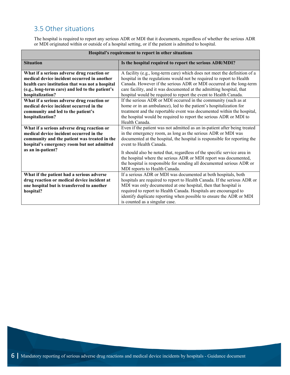### <span id="page-11-0"></span>3.5 Other situations

The hospital is required to report any serious ADR or MDI that it documents, regardless of whether the serious ADR or MDI originated within or outside of a hospital setting, or if the patient is admitted to hospital.

<span id="page-11-1"></span>

| Hospital's requirement to report in other situations |                                                                           |  |
|------------------------------------------------------|---------------------------------------------------------------------------|--|
| <b>Situation</b>                                     | Is the hospital required to report the serious ADR/MDI?                   |  |
| What if a serious adverse drug reaction or           | A facility (e.g., long-term care) which does not meet the definition of a |  |
| medical device incident occurred in another          | hospital in the regulations would not be required to report to Health     |  |
| health care institution that was not a hospital      | Canada. However if the serious ADR or MDI occurred at the long-term       |  |
| (e.g., long-term care) and led to the patient's      | care facility, and it was documented at the admitting hospital, that      |  |
| hospitalization?                                     | hospital would be required to report the event to Health Canada.          |  |
| What if a serious adverse drug reaction or           | If the serious ADR or MDI occurred in the community (such as at           |  |
| medical device incident occurred in the              | home or in an ambulance), led to the patient's hospitalization for        |  |
| community and led to the patient's                   | treatment and the reportable event was documented within the hospital,    |  |
| hospitalization?                                     | the hospital would be required to report the serious ADR or MDI to        |  |
|                                                      | Health Canada.                                                            |  |
| What if a serious adverse drug reaction or           | Even if the patient was not admitted as an in-patient after being treated |  |
| medical device incident occurred in the              | in the emergency room, as long as the serious ADR or MDI was              |  |
| community and the patient was treated in the         | documented at the hospital, the hospital is responsible for reporting the |  |
| hospital's emergency room but not admitted           | event to Health Canada.                                                   |  |
| as an in-patient?                                    | It should also be noted that, regardless of the specific service area in  |  |
|                                                      | the hospital where the serious ADR or MDI report was documented,          |  |
|                                                      | the hospital is responsible for sending all documented serious ADR or     |  |
|                                                      | MDI reports to Health Canada.                                             |  |
| What if the patient had a serious adverse            | If a serious ADR or MDI was documented at both hospitals, both            |  |
| drug reaction or medical device incident at          | hospitals are required to report to Health Canada. If the serious ADR or  |  |
| one hospital but is transferred to another           | MDI was only documented at one hospital, then that hospital is            |  |
| hospital?                                            | required to report to Health Canada. Hospitals are encouraged to          |  |
|                                                      | identify duplicate reporting when possible to ensure the ADR or MDI       |  |
|                                                      | is counted as a singular case.                                            |  |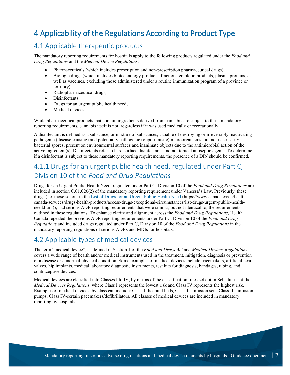## <span id="page-12-0"></span>4 Applicability of the Regulations According to Product Type

#### <span id="page-12-1"></span>4.1 Applicable therapeutic products

The mandatory reporting requirements for hospitals apply to the following products regulated under the *Food and Drug Regulations* and the *Medical Device Regulations*:

- Pharmaceuticals (which includes prescription and non-prescription pharmaceutical drugs);
- Biologic drugs (which includes biotechnology products, fractionated blood products, plasma proteins, as well as vaccines, excluding those administered under a routine immunization program of a province or territory);
- Radiopharmaceutical drugs;
- Disinfectants;
- Drugs for an urgent public health need;
- Medical devices.

While pharmaceutical products that contain ingredients derived from cannabis are subject to these mandatory reporting requirements, cannabis itself is not, regardless if it was used medically or recreationally.

A disinfectant is defined as a substance, or mixture of substances, capable of destroying or irreversibly inactivating pathogenic (disease-causing) and potentially pathogenic (opportunistic) microorganisms, but not necessarily bacterial spores, present on environmental surfaces and inanimate objects due to the antimicrobial action of the active ingredient(s). Disinfectants refer to hard surface disinfectants and not topical antiseptic agents. To determine if a disinfectant is subject to these mandatory reporting requirements, the presence of a DIN should be confirmed.

### <span id="page-12-2"></span>4.1.1 Drugs for an urgent public health need, regulated under Part C, Division 10 of the *Food and Drug Regulations*

Drugs for an Urgent Public Health Need, regulated under Part C, Division 10 of the *Food and Drug Regulations* are included in section C.01.020(2) of the mandatory reporting requirement under Vanessa's Law. Previously, these drugs (i.e. those set out in the [List of Drugs for an Urgent Public Health Need](https://www.canada.ca/en/health-canada/services/drugs-health-products/access-drugs-exceptional-circumstances/list-drugs-urgent-public-health-need.html) (https://www.canada.ca/en/healthcanada/services/drugs-health-products/access-drugs-exceptional-circumstances/list-drugs-urgent-public-healthneed.html)), had serious ADR reporting requirements that were similar, but not identical to, the requirements outlined in these regulations. To enhance clarity and alignment across the *Food and Drug Regulations*, Health Canada repealed the previous ADR reporting requirements under Part C, Division 10 of the *Food and Drug Regulations* and included drugs regulated under Part C, Division 10 of the *Food and Drug Regulations* in the mandatory reporting regulations of serious ADRs and MDIs for hospitals.

#### <span id="page-12-3"></span>4.2 Applicable types of medical devices

The term "medical device", as defined in Section 1 of the *Food and Drugs Act* and *Medical Devices Regulations* covers a wide range of health and/or medical instruments used in the treatment, mitigation, diagnosis or prevention of a disease or abnormal physical condition. Some examples of medical devices include pacemakers, artificial heart valves, hip implants, medical laboratory diagnostic instruments, test kits for diagnosis, bandages, tubing, and contraceptive devices.

Medical devices are classified into Classes I to IV, by means of the classification rules set out in Schedule 1 of the *Medical Devices Regulations*, where Class I represents the lowest risk and Class IV represents the highest risk. Examples of medical devices, by class can include: Class I- hospital beds, Class II- infusion sets, Class III- infusion pumps, Class IV-certain pacemakers/defibrillators. All classes of medical devices are included in mandatory reporting by hospitals.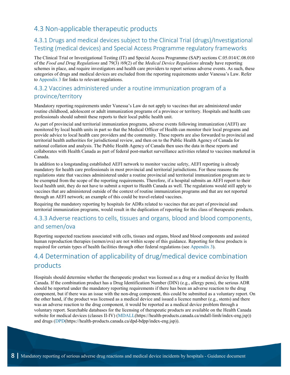### <span id="page-13-0"></span>4.3 Non-applicable therapeutic products

### <span id="page-13-1"></span>4.3.1 Drugs and medical devices subject to the Clinical Trial (drugs)/Investigational Testing (medical devices) and Special Access Programme regulatory frameworks

The Clinical Trial or Investigational Testing (IT) and Special Access Programme (SAP) sections C.05.014/C.08.010 of the *Food and Drug Regulations* and 79(3) /69(2) of the *Medical Device Regulations* already have reporting schemes in place, and require investigators and health care providers to report serious adverse events. As such, these categories of drugs and medical devices are excluded from the reporting requirements under Vanessa's Law. Refer to [Appendix 3](#page-40-1) for links to relevant regulations.

#### <span id="page-13-2"></span>4.3.2 Vaccines administered under a routine immunization program of a province/territory

Mandatory reporting requirements under Vanessa's Law do not apply to vaccines that are administered under routine childhood, adolescent or adult immunization programs of a province or territory. Hospitals and health care professionals should submit these reports to their local public health unit.

As part of provincial and territorial immunization programs, adverse events following immunization (AEFI) are monitored by local health units in part so that the Medical Officer of Health can monitor their local programs and provide advice to local health care providers and the community. These reports are also forwarded to provincial and territorial health authorities for jurisdictional review, and then on to the Public Health Agency of Canada for national collation and analysis. The Public Health Agency of Canada then uses the data in these reports and collaborates with Health Canada as part of federal post-market surveillance activities related to vaccines marketed in Canada.

In addition to a longstanding established AEFI network to monitor vaccine safety, AEFI reporting is already mandatory for health care professionals in most provincial and territorial jurisdictions. For these reasons the regulations state that vaccines administered under a routine provincial and territorial immunization program are to be exempted from the scope of the reporting requirements. Therefore, if a hospital submits an AEFI report to their local health unit, they do not have to submit a report to Health Canada as well. The regulations would still apply to vaccines that are administered outside of the context of routine immunization programs and that are not reported through an AEFI network; an example of this could be travel-related vaccines.

Requiring the mandatory reporting by hospitals for ADRs related to vaccines that are part of provincial and territorial immunization programs, would result in the duplication of reporting for this class of therapeutic products.

#### <span id="page-13-3"></span>4.3.3 Adverse reactions to cells, tissues and organs, blood and blood components, and semen/ova

Reporting suspected reactions associated with cells, tissues and organs, blood and blood components and assisted human reproduction therapies (semen/ova) are not within scope of this guidance. Reporting for these products is required for certain types of health facilities through other federal regulations (see [Appendix 3\)](#page-40-1).

### <span id="page-13-4"></span>4.4 Determination of applicability of drug/medical device combination products

Hospitals should determine whether the therapeutic product was licensed as a drug or a medical device by Health Canada. If the combination product has a Drug Identification Number (DIN) (e.g., allergy pens), the serious ADR should be reported under the mandatory reporting requirements if there has been an adverse reaction to the drug component, but if there was an issue with the non-drug component, this could be submitted as a voluntary report. On the other hand, if the product was licensed as a medical device and issued a licence number (e.g., stents) and there was an adverse reaction to the drug component, it would be reported as a medical device problem through a voluntary report. Searchable databases for the licensing of therapeutic products are available on the Health Canada website for medical devices (classes II-IV) (MDALL(https://health-products.canada.ca/mdall-limh/index-eng.jsp)) and drugs [\(DPD\(](https://health-products.canada.ca/dpd-bdpp/index-eng.jsp)https://health-products.canada.ca/dpd-bdpp/index-eng.jsp)).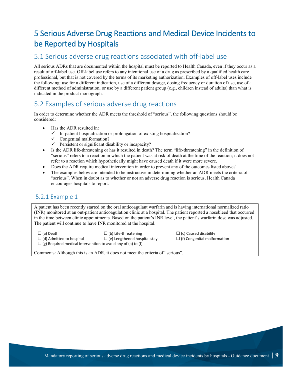## <span id="page-14-0"></span>5 Serious Adverse Drug Reactions and Medical Device Incidents to be Reported by Hospitals

#### <span id="page-14-1"></span>5.1 Serious adverse drug reactions associated with off-label use

All serious ADRs that are documented within the hospital must be reported to Health Canada, even if they occur as a result of off-label use. Off-label use refers to any intentional use of a drug as prescribed by a qualified health care professional, but that is not covered by the terms of its marketing authorization. Examples of off-label uses include the following: use for a different indication, use of a different dosage, dosing frequency or duration of use, use of a different method of administration, or use by a different patient group (e.g., children instead of adults) than what is indicated in the product monograph.

#### <span id="page-14-2"></span>5.2 Examples of serious adverse drug reactions

In order to determine whether the ADR meets the threshold of "serious", the following questions should be considered:

- Has the ADR resulted in:
	- $\checkmark$  In-patient hospitalization or prolongation of existing hospitalization?
	- $\checkmark$  Congenital malformation?
	- $\checkmark$  Persistent or significant disability or incapacity?
- Is the ADR life-threatening or has it resulted in death? The term "life-threatening" in the definition of "serious" refers to a reaction in which the patient was at risk of death at the time of the reaction; it does not refer to a reaction which hypothetically might have caused death if it were more severe.
- Does the ADR require medical intervention in order to prevent any of the outcomes listed above?
- The examples below are intended to be instructive in determining whether an ADR meets the criteria of "serious". When in doubt as to whether or not an adverse drug reaction is serious, Health Canada encourages hospitals to report.

#### 5.2.1 Example 1

A patient has been recently started on the oral anticoagulant warfarin and is having international normalized ratio (INR) monitored at an out-patient anticoagulation clinic at a hospital. The patient reported a nosebleed that occurred in the time between clinic appointments. Based on the patient's INR level, the patient's warfarin dose was adjusted. The patient will continue to have INR monitored at the hospital.

 $\Box$  (a) Death  $\Box$  (b) Life-threatening  $\Box$  (c) Caused disability  $\Box$  (d) Admitted to hospital  $\Box$  (e) Lengthened hospital stay  $\Box$  (f) Congenital malfor  $\Box$  (e) Lengthened hospital stay  $\Box$  (f) Congenital malformation  $\Box$  (g) Required medical intervention to avoid any of (a) to (f)

Comments: Although this is an ADR, it does not meet the criteria of "serious".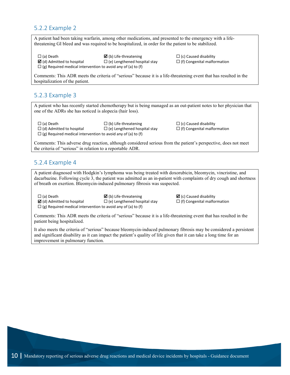#### 5.2.2 Example 2

A patient had been taking warfarin, among other medications, and presented to the emergency with a lifethreatening GI bleed and was required to be hospitalized, in order for the patient to be stabilized.

 $\Box$  (g) Required medical intervention to avoid any of (a) to (f)

 $\square$  (a) Death  $\square$  (c) Caused disability

 $\boxtimes$  (d) Admitted to hospital  $\square$  (e) Lengthened hospital stay  $\square$  (f) Congenital malformation

Comments: This ADR meets the criteria of "serious" because it is a life-threatening event that has resulted in the hospitalization of the patient.

#### 5.2.3 Example 3

A patient who has recently started chemotherapy but is being managed as an out-patient notes to her physician that one of the ADRs she has noticed is alopecia (hair loss).

 $\Box$  (a) Death  $\Box$  (b) Life-threatening  $\Box$  (c) Caused disability  $\Box$  (d) Admitted to hospital  $\Box$  (e) Lengthened hospital stay  $\Box$  (f) Congenital malformation  $\Box$  (g) Required medical intervention to avoid any of (a) to (f)

Comments: This adverse drug reaction, although considered serious from the patient's perspective, does not meet the criteria of "serious" in relation to a reportable ADR.

#### 5.2.4 Example 4

A patient diagnosed with Hodgkin's lymphoma was being treated with doxorubicin, bleomycin, vincristine, and dacarbazine. Following cycle 3, the patient was admitted as an in-patient with complaints of dry cough and shortness of breath on exertion. Bleomycin-induced pulmonary fibrosis was suspected.

 $\Box$  (a) Death  $\Box$  (c) Caused disability

 $\boxtimes$  (d) Admitted to hospital  $\square$  (e) Lengthened hospital stay  $\square$  (f) Congenital malformation  $\Box$  (g) Required medical intervention to avoid any of (a) to (f)

Comments: This ADR meets the criteria of "serious" because it is a life-threatening event that has resulted in the patient being hospitalized.

It also meets the criteria of "serious" because bleomycin-induced pulmonary fibrosis may be considered a persistent and significant disability as it can impact the patient's quality of life given that it can take a long time for an improvement in pulmonary function.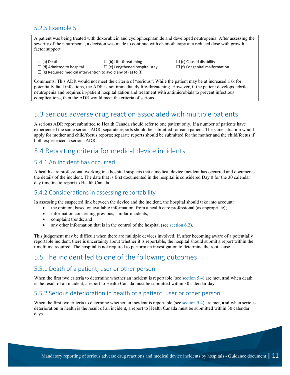#### 5.2.5 Example 5

A patient was being treated with doxorubicin and cyclophosphamide and developed neutropenia. After assessing the severity of the neutropenia, a decision was made to continue with chemotherapy at a reduced dose with growth factor support.

 $\Box$  (a) Death  $\Box$  (b) Life-threatening  $\Box$  (c) Caused disability  $\Box$  (d) Admitted to hospital  $\Box$  (e) Lengthened hospital stay  $\Box$  (f) Congenital malformation  $\Box$  (g) Required medical intervention to avoid any of (a) to (f)

Comments: This ADR would not meet the criteria of "serious". While the patient may be at increased risk for potentially fatal infections, the ADR is not immediately life-threatening. However, if the patient develops febrile neutropenia and requires in-patient hospitalization and treatment with antimicrobials to prevent infectious complications, then the ADR would meet the criteria of serious.

#### <span id="page-16-0"></span>5.3 Serious adverse drug reaction associated with multiple patients

A serious ADR report submitted to Health Canada should refer to one patient only. If a number of patients have experienced the same serious ADR, separate reports should be submitted for each patient. The same situation would apply for mother and child/foetus reports; separate reports should be submitted for the mother and the child/foetus if both experienced a serious ADR.

### <span id="page-16-1"></span>5.4 Reporting criteria for medical device incidents

#### <span id="page-16-2"></span>5.4.1 An incident has occurred

A health care professional working in a hospital suspects that a medical device incident has occurred and documents the details of the incident. The date that is first documented in the hospital is considered Day 0 for the 30 calendar day timeline to report to Health Canada.

#### <span id="page-16-3"></span>5.4.2 Considerations in assessing reportability

In assessing the suspected link between the device and the incident, the hospital should take into account:

- the opinion, based on available information, from a health care professional (as appropriate);
- information concerning previous, similar incidents;
- complaint trends; and
- any other information that is in the control of the hospital (see [section 6.2\)](#page-22-2).

This judgement may be difficult when there are multiple devices involved. If, after becoming aware of a potentially reportable incident, there is uncertainty about whether it is reportable, the hospital should submit a report within the timeframe required. The hospital is not required to perform an investigation to determine the root cause.

### <span id="page-16-4"></span>5.5 The incident led to one of the following outcomes

#### <span id="page-16-5"></span>5.5.1 Death of a patient, user or other person

When the first two criteria to determine whether an incident is reportable (see [section 5.4\)](#page-16-1) are met, **and** when death is the result of an incident, a report to Health Canada must be submitted within 30 calendar days.

#### <span id="page-16-6"></span>5.5.2 Serious deterioration in health of a patient, user or other person

When the first two criteria to determine whether an incident is reportable (see [section 5.4\)](#page-16-1) are met, **and** when serious deterioration in health is the result of an incident, a report to Health Canada must be submitted within 30 calendar days.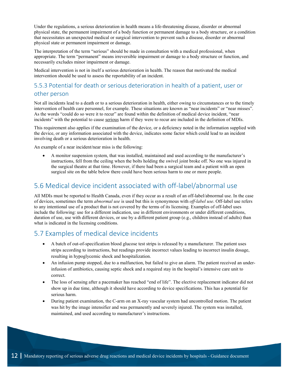Under the regulations, a serious deterioration in health means a life-threatening disease, disorder or abnormal physical state, the permanent impairment of a body function or permanent damage to a body structure, or a condition that necessitates an unexpected medical or surgical intervention to prevent such a disease, disorder or abnormal physical state or permanent impairment or damage.

The interpretation of the term "serious" should be made in consultation with a medical professional, when appropriate. The term "permanent" means irreversible impairment or damage to a body structure or function, and necessarily excludes minor impairment or damage.

Medical intervention is not in itself a serious deterioration in health. The reason that motivated the medical intervention should be used to assess the reportability of an incident.

### <span id="page-17-0"></span>5.5.3 Potential for death or serious deterioration in health of a patient, user or other person

Not all incidents lead to a death or to a serious deterioration in health, either owing to circumstances or to the timely intervention of health care personnel, for example. These situations are known as "near incidents" or "near misses". As the words "could do so were it to recur" are found within the definition of medical device incident, "near incidents" with the potential to cause serious harm if they were to recur are included in the definition of MDIs.

This requirement also applies if the examination of the device, or a deficiency noted in the information supplied with the device, or any information associated with the device, indicates some factor which could lead to an incident involving death or a serious deterioration in health.

An example of a near incident/near miss is the following:

• A monitor suspension system, that was installed, maintained and used according to the manufacturer's instructions, fell from the ceiling when the bolts holding the swivel joint broke off. No one was injured in the surgical theatre at that time. However, if there had been a surgical team and a patient with an open surgical site on the table below there could have been serious harm to one or more people.

#### <span id="page-17-1"></span>5.6 Medical device incident associated with off-label/abnormal use

All MDIs must be reported to Health Canada, even if they occur as a result of an off-label/abnormal use. In the case of devices, sometimes the term *abnormal use* is used but this is synonymous with *off-label use*. Off-label use refers to any intentional use of a product that is not covered by the terms of its licensing. Examples of off-label uses include the following: use for a different indication, use in different environments or under different conditions, duration of use, use with different devices, or use by a different patient group (e.g., children instead of adults) than what is indicated in the licensing conditions.

### <span id="page-17-2"></span>5.7 Examples of medical device incidents

- A batch of out-of-specification blood glucose test strips is released by a manufacturer. The patient uses strips according to instructions, but readings provide incorrect values leading to incorrect insulin dosage, resulting in hypoglycemic shock and hospitalization.
- An infusion pump stopped, due to a malfunction, but failed to give an alarm. The patient received an underinfusion of antibiotics, causing septic shock and a required stay in the hospital's intensive care unit to correct.
- The loss of sensing after a pacemaker has reached "end of life". The elective replacement indicator did not show up in due time, although it should have according to device specifications. This has a potential for serious harm.
- During patient examination, the C-arm on an X-ray vascular system had uncontrolled motion. The patient was hit by the image intensifier and was permanently and severely injured. The system was installed, maintained, and used according to manufacturer's instructions.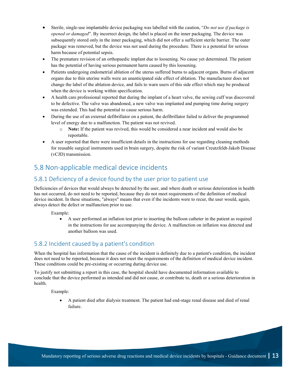- Sterile, single-use implantable device packaging was labelled with the caution, "*Do not use if package is opened or damaged*". By incorrect design, the label is placed on the inner packaging. The device was subsequently stored only in the inner packaging, which did not offer a sufficient sterile barrier. The outer package was removed, but the device was not used during the procedure. There is a potential for serious harm because of potential sepsis.
- The premature revision of an orthopaedic implant due to loosening. No cause yet determined. The patient has the potential of having serious permanent harm caused by this loosening.
- Patients undergoing endometrial ablation of the uterus suffered burns to adjacent organs. Burns of adjacent organs due to thin uterine walls were an unanticipated side effect of ablation. The manufacturer does not change the label of the ablation device, and fails to warn users of this side effect which may be produced when the device is working within specification.
- A health care professional reported that during the implant of a heart valve, the sewing cuff was discovered to be defective. The valve was abandoned, a new valve was implanted and pumping time during surgery was extended. This had the potential to cause serious harm.
- During the use of an external defibrillator on a patient, the defibrillator failed to deliver the programmed level of energy due to a malfunction. The patient was not revived.
	- o **Note:** If the patient was revived, this would be considered a near incident and would also be reportable.
- A user reported that there were insufficient details in the instructions for use regarding cleaning methods for reusable surgical instruments used in brain surgery, despite the risk of variant Creutzfeldt-Jakob Disease (vCJD) transmission.

### <span id="page-18-0"></span>5.8 Non-applicable medical device incidents

#### <span id="page-18-1"></span>5.8.1 Deficiency of a device found by the user prior to patient use

Deficiencies of devices that would always be detected by the user, and where death or serious deterioration in health has not occurred, do not need to be reported, because they do not meet requirements of the definition of medical device incident. In these situations, "always" means that even if the incidents were to recur, the user would, again, always detect the defect or malfunction prior to use.

Example:

• A user performed an inflation test prior to inserting the balloon catheter in the patient as required in the instructions for use accompanying the device. A malfunction on inflation was detected and another balloon was used.

#### <span id="page-18-2"></span>5.8.2 Incident caused by a patient's condition

When the hospital has information that the cause of the incident is definitely due to a patient's condition, the incident does not need to be reported, because it does not meet the requirements of the definition of medical device incident. These conditions could be pre-existing or occurring during device use.

To justify not submitting a report in this case, the hospital should have documented information available to conclude that the device performed as intended and did not cause, or contribute to, death or a serious deterioration in health.

Example:

• A patient died after dialysis treatment. The patient had end-stage renal disease and died of renal failure.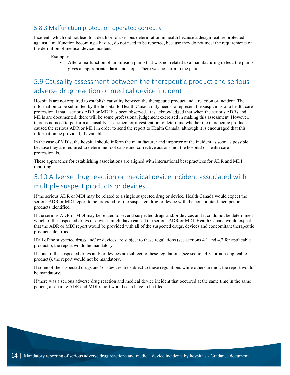#### <span id="page-19-0"></span>5.8.3 Malfunction protection operated correctly

Incidents which did not lead to a death or to a serious deterioration in health because a design feature protected against a malfunction becoming a hazard, do not need to be reported, because they do not meet the requirements of the definition of medical device incident.

Example:

• After a malfunction of an infusion pump that was not related to a manufacturing defect, the pump gives an appropriate alarm and stops. There was no harm to the patient.

### <span id="page-19-1"></span>5.9 Causality assessment between the therapeutic product and serious adverse drug reaction or medical device incident

Hospitals are not required to establish causality between the therapeutic product and a reaction or incident. The information to be submitted by the hospital to Health Canada only needs to represent the suspicions of a health care professional that a serious ADR or MDI has been observed. It is acknowledged that when the serious ADRs and MDIs are documented, there will be some professional judgement exercised in making this assessment. However, there is no need to perform a causality assessment or investigation to determine whether the therapeutic product caused the serious ADR or MDI in order to send the report to Health Canada, although it is encouraged that this information be provided, if available.

In the case of MDIs, the hospital should inform the manufacturer and importer of the incident as soon as possible because they are required to determine root cause and corrective actions, not the hospital or health care professionals.

These approaches for establishing associations are aligned with international best practices for ADR and MDI reporting.

### <span id="page-19-2"></span>5.10 Adverse drug reaction or medical device incident associated with multiple suspect products or devices

If the serious ADR or MDI may be related to a single suspected drug or device, Health Canada would expect the serious ADR or MDI report to be provided for the suspected drug or device with the concomitant therapeutic products identified.

If the serious ADR or MDI may be related to several suspected drugs and/or devices and it could not be determined which of the suspected drugs or devices might have caused the serious ADR or MDI, Health Canada would expect that the ADR or MDI report would be provided with all of the suspected drugs, devices and concomitant therapeutic products identified.

If all of the suspected drugs and/ or devices are subject to these regulations (see sections 4.1 and 4.2 for applicable products), the report would be mandatory.

If none of the suspected drugs and/ or devices are subject to these regulations (see section 4.3 for non-applicable products), the report would not be mandatory.

If some of the suspected drugs and/ or devices are subject to these regulations while others are not, the report would be mandatory.

If there was a serious adverse drug reaction and medical device incident that occurred at the same time in the same patient, a separate ADR and MDI report would each have to be filed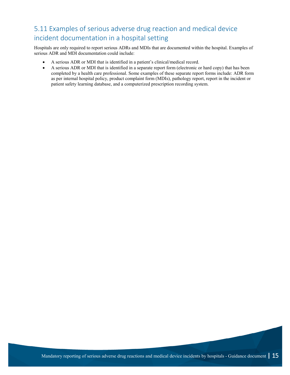### <span id="page-20-0"></span>5.11 Examples of serious adverse drug reaction and medical device incident documentation in a hospital setting

Hospitals are only required to report serious ADRs and MDIs that are documented within the hospital. Examples of serious ADR and MDI documentation could include:

- A serious ADR or MDI that is identified in a patient's clinical/medical record.
- A serious ADR or MDI that is identified in a separate report form (electronic or hard copy) that has been completed by a health care professional. Some examples of these separate report forms include: ADR form as per internal hospital policy, product complaint form (MDIs), pathology report, report in the incident or patient safety learning database, and a computerized prescription recording system.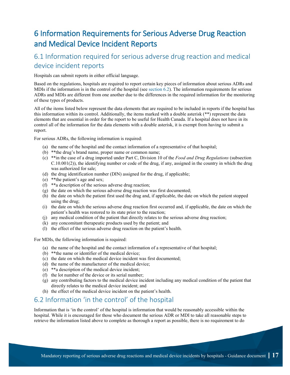## <span id="page-22-0"></span>6 Information Requirements for Serious Adverse Drug Reaction and Medical Device Incident Reports

### <span id="page-22-1"></span>6.1 Information required for serious adverse drug reaction and medical device incident reports

Hospitals can submit reports in either official language.

Based on the regulations, hospitals are required to report certain key pieces of information about serious ADRs and MDIs if the information is in the control of the hospital (see [section 6.2\)](#page-22-2). The information requirements for serious ADRs and MDIs are different from one another due to the differences in the required information for the monitoring of these types of products.

All of the items listed below represent the data elements that are required to be included in reports if the hospital has this information within its control. Additionally, the items marked with a double asterisk (\*\*) represent the data elements that are essential in order for the report to be useful for Health Canada. If a hospital does not have in its control all of the information for the data elements with a double asterisk, it is exempt from having to submit a report.

For serious ADRs, the following information is required:

- (a) the name of the hospital and the contact information of a representative of that hospital;
- (b) \*\*the drug's brand name, proper name or common name;
- (c) \*\*in the case of a drug imported under Part C, Division 10 of the *Food and Drug Regulations* (subsection C.10.001(2)), the identifying number or code of the drug, if any, assigned in the country in which the drug was authorized for sale;
- (d) the drug identification number (DIN) assigned for the drug, if applicable;
- (e) \*\*the patient's age and sex;
- (f) \*\*a description of the serious adverse drug reaction;
- (g) the date on which the serious adverse drug reaction was first documented;
- (h) the date on which the patient first used the drug and, if applicable, the date on which the patient stopped using the drug;
- (i) the date on which the serious adverse drug reaction first occurred and, if applicable, the date on which the patient's health was restored to its state prior to the reaction;
- (j) any medical condition of the patient that directly relates to the serious adverse drug reaction;
- (k) any concomitant therapeutic products used by the patient; and
- (l) the effect of the serious adverse drug reaction on the patient's health.

For MDIs, the following information is required:

- (a) the name of the hospital and the contact information of a representative of that hospital;
- (b) \*\*the name or identifier of the medical device;
- (c) the date on which the medical device incident was first documented;
- (d) the name of the manufacturer of the medical device;
- (e) \*\*a description of the medical device incident;
- (f) the lot number of the device or its serial number;
- (g) any contributing factors to the medical device incident including any medical condition of the patient that directly relates to the medical device incident; and
- (h) the effect of the medical device incident on the patient's health.

#### <span id="page-22-2"></span>6.2 Information 'in the control' of the hospital

Information that is 'in the control' of the hospital is information that would be reasonably accessible within the hospital. While it is encouraged for those who document the serious ADR or MDI to take all reasonable steps to retrieve the information listed above to complete as thorough a report as possible, there is no requirement to do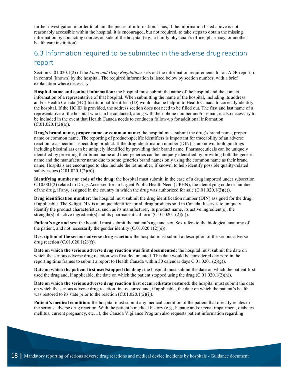further investigation in order to obtain the pieces of information. Thus, if the information listed above is not reasonably accessible within the hospital, it is encouraged, but not required, to take steps to obtain the missing information by contacting sources outside of the hospital (e.g., a family physician's office, pharmacy, or another health care institution).

### <span id="page-23-0"></span>6.3 Information required to be submitted in the adverse drug reaction report

Section C.01.020.1(2) of the *Food and Drug Regulations* sets out the information requirements for an ADR report, if in control (known) by the hospital. The required information is listed below by section number, with a brief explanation where necessary.

**Hospital name and contact information:** the hospital must submit the name of the hospital and the contact information of a representative of that hospital. When submitting the name of the hospital, including its address and/or Health Canada (HC) Institutional Identifier (ID) would also be helpful to Health Canada to correctly identify the hospital. If the HC ID is provided, the address section does not need to be filled out. The first and last name of a representative of the hospital who can be contacted, along with their phone number and/or email, is also necessary to be included in the event that Health Canada needs to conduct a follow-up for additional information  $(C.01.020.1(2)(a))$ .

**Drug's brand name, proper name or common name:** the hospital must submit the drug's brand name, proper name or common name. The reporting of product-specific identifiers is important for traceability of an adverse reaction to a specific suspect drug product. If the drug identification number (DIN) is unknown, biologic drugs including biosimilars can be uniquely identified by providing their brand name. Pharmaceuticals can be uniquely identified by providing their brand name and their generics can be uniquely identified by providing both the generic name and the manufacturer name due to some generics brand names only using the common name as their brand name. Hospitals are encouraged to also include the lot number, if known, to help identify possible quality-related safety issues (C.01.020.1(2)(b)).

**Identifying number or code of the drug:** the hospital must submit, in the case of a drug imported under subsection C.10.001(2) related to Drugs Accessed for an Urgent Public Health Need (UPHN), the identifying code or number of the drug, if any, assigned in the country in which the drug was authorized for sale  $(C.01.020.1(2)(c))$ .

**Drug identification number**: the hospital must submit the drug identification number (DIN) assigned for the drug, if applicable. The 8-digit DIN is a unique identifier for all drug products sold in Canada. It serves to uniquely identify the product characteristics, such as its manufacturer, its product name, its active ingredient(s), the strength(s) of active ingredient(s) and its pharmaceutical form  $(C.01.020.1(2)(d))$ .

**Patient's age and sex:** the hospital must submit the patient's age and sex. Sex refers to the biological anatomy of the patient, and not necessarily the gender identity  $(C.01.020.1(2)(e))$ .

**Description of the serious adverse drug reaction:** the hospital must submit a description of the serious adverse drug reaction (C.01.020.1(2)(f)).

**Date on which the serious adverse drug reaction was first documented:** the hospital must submit the date on which the serious adverse drug reaction was first documented. This date would be considered day zero in the reporting time frames to submit a report to Health Canada within 30 calendar days  $C.01.020.1(2)(g)$ .

**Date on which the patient first used/stopped the drug:** the hospital must submit the date on which the patient first used the drug and, if applicable, the date on which the patient stopped using the drug  $(C.01.020.1(2)(h))$ .

**Date on which the serious adverse drug reaction first occurred/state restored:** the hospital must submit the date on which the serious adverse drug reaction first occurred and, if applicable, the date on which the patient's health was restored to its state prior to the reaction  $(C.01.020.1(2)(i))$ .

**Patient's medical condition:** the hospital must submit any medical condition of the patient that directly relates to the serious adverse drug reaction. With the patient's medical history (e.g., hepatic and/or renal impairment, diabetes mellitus, current pregnancy, etc…), the Canada Vigilance Program also requests patient information regarding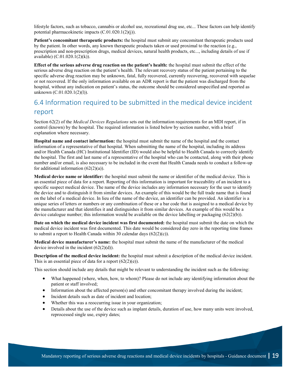lifestyle factors, such as tobacco, cannabis or alcohol use, recreational drug use, etc... These factors can help identify potential pharmacokinetic impacts (C.01.020.1(2)(j)).

**Patient's concomitant therapeutic products:** the hospital must submit any concomitant therapeutic products used by the patient. In other words, any known therapeutic products taken or used proximal to the reaction (e.g., prescription and non-prescription drugs, medical devices, natural health products, etc..., including details of use if available) (C.01.020.1(2)(k)).

**Effect of the serious adverse drug reaction on the patient's health:** the hospital must submit the effect of the serious adverse drug reaction on the patient's health. The relevant recovery status of the patient pertaining to the specific adverse drug reaction may be unknown, fatal, fully recovered, currently recovering, recovered with sequelae or not recovered. If the only information available on an ADR report is that the patient was discharged from the hospital, without any indication on patient's status, the outcome should be considered unspecified and reported as unknown (C.01.020.1(2)(l)).

### <span id="page-24-0"></span>6.4 Information required to be submitted in the medical device incident report

Section 62(2) of the *Medical Devices Regulations* sets out the information requirements for an MDI report, if in control (known) by the hospital. The required information is listed below by section number, with a brief explanation where necessary.

**Hospital name and contact information:** the hospital must submit the name of the hospital and the contact information of a representative of that hospital. When submitting the name of the hospital, including its address and/or Health Canada (HC) Institutional Identifier (ID) would also be helpful to Health Canada to correctly identify the hospital. The first and last name of a representative of the hospital who can be contacted, along with their phone number and/or email, is also necessary to be included in the event that Health Canada needs to conduct a follow-up for additional information  $(62(2)(a))$ .

**Medical device name or identifier:** the hospital must submit the name or identifier of the medical device. This is an essential piece of data for a report. Reporting of this information is important for traceability of an incident to a specific suspect medical device. The name of the device includes any information necessary for the user to identify the device and to distinguish it from similar devices. An example of this would be the full trade name that is found on the label of a medical device. In lieu of the name of the device, an identifier can be provided. An identifier is a unique series of letters or numbers or any combination of these or a bar code that is assigned to a medical device by the manufacturer and that identifies it and distinguishes it from similar devices. An example of this would be a device catalogue number; this information would be available on the device labelling or packaging  $(62(2)(b))$ .

**Date on which the medical device incident was first documented:** the hospital must submit the date on which the medical device incident was first documented. This date would be considered day zero in the reporting time frames to submit a report to Health Canada within 30 calendar days (62(2)(c)).

**Medical device manufacturer's name:** the hospital must submit the name of the manufacturer of the medical device involved in the incident  $(62(2)(d))$ .

**Description of the medical device incident:** the hospital must submit a description of the medical device incident. This is an essential piece of data for a report  $(62(2)(e))$ .

This section should include any details that might be relevant to understanding the incident such as the following:

- What happened (where, when, how, to whom)? Please do not include any identifying information about the patient or staff involved;
- Information about the affected person(s) and other concomitant therapy involved during the incident;
- Incident details such as date of incident and location;
- Whether this was a reoccurring issue in your organization;
- Details about the use of the device such as implant details, duration of use, how many units were involved, reprocessed single use, expiry dates;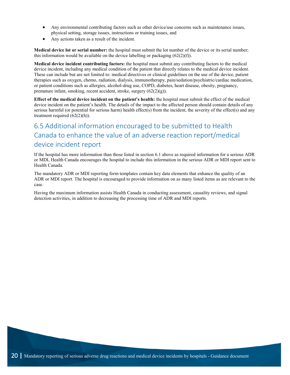- Any environmental contributing factors such as other device/use concerns such as maintenance issues, physical setting, storage issues, instructions or training issues, and
- Any actions taken as a result of the incident.

**Medical device lot or serial number:** the hospital must submit the lot number of the device or its serial number; this information would be available on the device labelling or packaging  $(62(2)(f))$ .

**Medical device incident contributing factors:** the hospital must submit any contributing factors to the medical device incident, including any medical condition of the patient that directly relates to the medical device incident. These can include but are not limited to: medical directives or clinical guidelines on the use of the device, patient therapies such as oxygen, chemo, radiation, dialysis, immunotherapy, pain/sedation/psychiatric/cardiac medication, or patient conditions such as allergies, alcohol-drug use, COPD, diabetes, heart disease, obesity, pregnancy, premature infant, smoking, recent accident, stroke, surgery (62(2)(g)).

**Effect of the medical device incident on the patient's health:** the hospital must submit the effect of the medical device incident on the patient's health. The details of the impact to the affected person should contain details of any serious harmful (or potential for serious harm) health effect(s) from the incident, the severity of the effect(s) and any treatment required  $(62(2)(h))$ .

### <span id="page-25-0"></span>6.5 Additional information encouraged to be submitted to Health Canada to enhance the value of an adverse reaction report/medical device incident report

If the hospital has more information than those listed in section 6.1 above as required information for a serious ADR or MDI, Health Canada encourages the hospital to include this information in the serious ADR or MDI report sent to Health Canada.

The mandatory ADR or MDI reporting form templates contain key data elements that enhance the quality of an ADR or MDI report. The hospital is encouraged to provide information on as many listed items as are relevant to the case.

Having the maximum information assists Health Canada in conducting assessment, causality reviews, and signal detection activities, in addition to decreasing the processing time of ADR and MDI reports.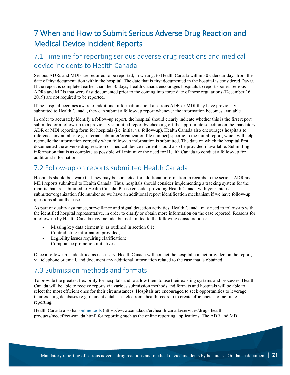## <span id="page-26-0"></span>7 When and How to Submit Serious Adverse Drug Reaction and Medical Device Incident Reports

### <span id="page-26-1"></span>7.1 Timeline for reporting serious adverse drug reactions and medical device incidents to Health Canada

Serious ADRs and MDIs are required to be reported, in writing, to Health Canada within 30 calendar days from the date of first documentation within the hospital. The date that is first documented in the hospital is considered Day 0. If the report is completed earlier than the 30 days, Health Canada encourages hospitals to report sooner. Serious ADRs and MDIs that were first documented prior to the coming into force date of these regulations (December 16, 2019) are not required to be reported.

If the hospital becomes aware of additional information about a serious ADR or MDI they have previously submitted to Health Canada, they can submit a follow-up report whenever the information becomes available

In order to accurately identify a follow-up report, the hospital should clearly indicate whether this is the first report submitted or a follow-up to a previously submitted report by checking off the appropriate selection on the mandatory ADR or MDI reporting form for hospitals (i.e. initial vs. follow-up). Health Canada also encourages hospitals to reference any number (e.g. internal submitter/organization file number) specific to the initial report, which will help reconcile the information correctly when follow-up information is submitted. The date on which the hospital first documented the adverse drug reaction or medical device incident should also be provided if available. Submitting information that is as complete as possible will minimize the need for Health Canada to conduct a follow-up for additional information.

### <span id="page-26-2"></span>7.2 Follow-up on reports submitted Health Canada

Hospitals should be aware that they may be contacted for additional information in regards to the serious ADR and MDI reports submitted to Health Canada. Thus, hospitals should consider implementing a tracking system for the reports that are submitted to Health Canada. Please consider providing Health Canada with your internal submitter/organization file number so we have an additional report identification mechanism if we have follow-up questions about the case.

As part of quality assurance, surveillance and signal detection activities, Health Canada may need to follow-up with the identified hospital representative, in order to clarify or obtain more information on the case reported. Reasons for a follow-up by Health Canada may include, but not limited to the following considerations:

- Missing key data element(s) as outlined in section  $6.1$ ;
- Contradicting information provided;
- Legibility issues requiring clarification;
- Compliance promotion initiatives.

Once a follow-up is identified as necessary, Health Canada will contact the hospital contact provided on the report, via telephone or email, and document any additional information related to the case that is obtained.

### <span id="page-26-3"></span>7.3 Submission methods and formats

To provide the greatest flexibility for hospitals and to allow them to use their existing systems and processes, Health Canada will be able to receive reports via various submission methods and formats and hospitals will be able to select the most efficient ones for their circumstances. Hospitals are encouraged to seek opportunities to leverage their existing databases (e.g. incident databases, electronic health records) to create efficiencies to facilitate reporting.

Health Canada also has [online tools](https://www.canada.ca/en/health-canada/services/drugs-health-products/medeffect-canada.html) (https://www.canada.ca/en/health-canada/services/drugs-healthproducts/medeffect-canada.html) for reporting such as the online reporting applications. The ADR and MDI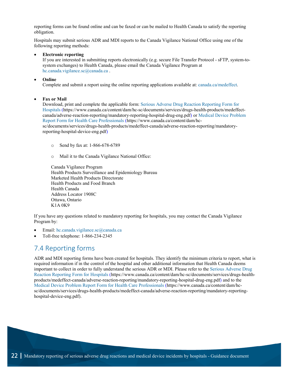reporting forms can be found online and can be faxed or can be mailed to Health Canada to satisfy the reporting obligation.

Hospitals may submit serious ADR and MDI reports to the Canada Vigilance National Office using one of the following reporting methods:

#### • **Electronic reporting**

If you are interested in submitting reports electronically (e.g. secure File Transfer Protocol - sFTP, system-tosystem exchanges) to Health Canada, please email the Canada Vigilance Program at [hc.canada.vigilance.sc@canada.ca](mailto:hc.canada.vigilance.sc@canada.ca).

#### • **Online**

Complete and submit a report using the online reporting applications available at: [canada.ca/medeffect.](https://www.canada.ca/en/health-canada/services/drugs-health-products/medeffect-canada.html?utm_source=canada-ca-medeffect-en&utm_medium=vurl&utm_campaign=medeffect)

#### • **Fax or Mail**

Download, print and complete the applicable form: [Serious Adverse Drug Reaction Reporting Form for](https://www.canada.ca/content/dam/hc-sc/documents/services/drugs-health-products/medeffect-canada/adverse-reaction-reporting/mandatory-reporting-hospital-drug-eng.pdf)  [Hospitals](https://www.canada.ca/content/dam/hc-sc/documents/services/drugs-health-products/medeffect-canada/adverse-reaction-reporting/mandatory-reporting-hospital-drug-eng.pdf) (https://www.canada.ca/content/dam/hc-sc/documents/services/drugs-health-products/medeffectcanada/adverse-reaction-reporting/mandatory-reporting-hospital-drug-eng.pdf) or [Medical Device Problem](https://www.canada.ca/content/dam/hc-sc/documents/services/drugs-health-products/medeffect-canada/adverse-reaction-reporting/mandatory-reporting-hospital-device-eng.pdf)  [Report Form for Health Care Professionals](https://www.canada.ca/content/dam/hc-sc/documents/services/drugs-health-products/medeffect-canada/adverse-reaction-reporting/mandatory-reporting-hospital-device-eng.pdf) (https://www.canada.ca/content/dam/hcsc/documents/services/drugs-health-products/medeffect-canada/adverse-reaction-reporting/mandatoryreporting-hospital-device-eng.pdf)

- o Send by fax at: 1-866-678-6789
- o Mail it to the Canada Vigilance National Office:

Canada Vigilance Program Health Products Surveillance and Epidemiology Bureau Marketed Health Products Directorate Health Products and Food Branch Health Canada Address Locator 1908C Ottawa, Ontario K1A 0K9

If you have any questions related to mandatory reporting for hospitals, you may contact the Canada Vigilance Program by:

- Email: [hc.canada.vigilance.sc@canada.ca](mailto:hc.canada.vigilance.sc@canada.ca)
- Toll-free telephone: 1-866-234-2345

#### <span id="page-27-0"></span>7.4 Reporting forms

ADR and MDI reporting forms have been created for hospitals. They identify the minimum criteria to report, what is required information if in the control of the hospital and other additional information that Health Canada deems important to collect in order to fully understand the serious ADR or MDI. Please refer to the Serious [Adverse Drug](https://www.canada.ca/content/dam/hc-sc/documents/services/drugs-health-products/medeffect-canada/adverse-reaction-reporting/mandatory-reporting-hospital-drug-eng.pdf)  [Reaction Reporting Form for Hospitals](https://www.canada.ca/content/dam/hc-sc/documents/services/drugs-health-products/medeffect-canada/adverse-reaction-reporting/mandatory-reporting-hospital-drug-eng.pdf) (https://www.canada.ca/content/dam/hc-sc/documents/services/drugs-healthproducts/medeffect-canada/adverse-reaction-reporting/mandatory-reporting-hospital-drug-eng.pdf) and to the [Medical Device Problem Report Form for Health Care Professionals](https://www.canada.ca/content/dam/hc-sc/documents/services/drugs-health-products/medeffect-canada/adverse-reaction-reporting/mandatory-reporting-hospital-device-eng.pdf) (https://www.canada.ca/content/dam/hcsc/documents/services/drugs-health-products/medeffect-canada/adverse-reaction-reporting/mandatory-reportinghospital-device-eng.pdf).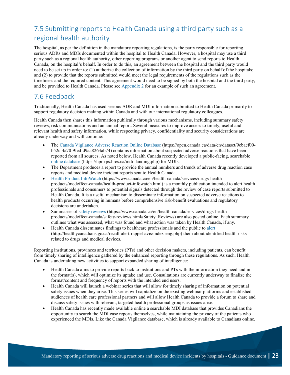## <span id="page-28-0"></span>7.5 Submitting reports to Health Canada using a third party such as a regional health authority

The hospital, as per the definition in the mandatory reporting regulations, is the party responsible for reporting serious ADRs and MDIs documented within the hospital to Health Canada. However, a hospital may use a third party such as a regional health authority, other reporting programs or another agent to send reports to Health Canada, on the hospital's behalf. In order to do this, an agreement between the hospital and the third party would need to be set up in order to: (1) authorize the collection of information by the third party on behalf of the hospitals; and (2) to provide that the reports submitted would meet the legal requirements of the regulations such as the timeliness and the required content. This agreement would need to be signed by both the hospital and the third party, and be provided to Health Canada. Please se[e Appendix 2](#page-39-0) for an example of such an agreement.

### <span id="page-28-1"></span>7.6 Feedback

Traditionally, Health Canada has used serious ADR and MDI information submitted to Health Canada primarily to support regulatory decision making within Canada and with our international regulatory colleagues.

Health Canada then shares this information publically through various mechanisms, including summary safety reviews, risk communications and an annual report. Several measures to improve access to timely, useful and relevant health and safety information, while respecting privacy, confidentiality and security considerations are already underway and will continue:

- The [Canada Vigilance Adverse Reaction Online Database](https://open.canada.ca/data/en/dataset/9cbaef00-b52c-4a70-9fed-d9aa8263ab74) (https://open.canada.ca/data/en/dataset/9cbaef00 b52c-4a70-9fed-d9aa8263ab74) contains information about suspected adverse reactions that have been reported from all sources. As noted below, Health Canada recently developed a public-facing, searchable [online database](https://hpr-rps.hres.ca/mdi_landing.php) (https://hpr-rps.hres.ca/mdi\_landing.php) for MDIs.
- The Department produces a report to provide the annual numbers and trends of adverse drug reaction case reports and medical device incident reports sent to Health Canada.
- [Health Product InfoWatch](https://www.canada.ca/en/health-canada/services/drugs-health-products/medeffect-canada/health-product-infowatch.html) (https://www.canada.ca/en/health-canada/services/drugs-healthproducts/medeffect-canada/health-product-infowatch.html) is a monthly publication intended to alert health professionals and consumers to potential signals detected through the review of case reports submitted to Health Canada. It is a useful mechanism to disseminate information on suspected adverse reactions to health products occurring in humans before comprehensive risk-benefit evaluations and regulatory decisions are undertaken.
- Summaries of [safety reviews](https://www.canada.ca/en/health-canada/services/drugs-health-products/medeffect-canada/safety-reviews.html#Safety_Reviews) (https://www.canada.ca/en/health-canada/services/drugs-healthproducts/medeffect-canada/safety-reviews.html#Safety\_Reviews) are also posted online. Each summary outlines what was assessed, what was found and what action was taken by Health Canada, if any.
- Health Canada disseminates findings to healthcare professionals and the public to [alert](http://healthycanadians.gc.ca/recall-alert-rappel-avis/index-eng.php) (http://healthycanadians.gc.ca/recall-alert-rappel-avis/index-eng.php) them about identified health risks related to drugs and medical devices.

Reporting institutions, provinces and territories (PTs) and other decision makers, including patients, can benefit from timely sharing of intelligence gathered by the enhanced reporting through these regulations. As such, Health Canada is undertaking new activities to support expanded sharing of intelligence:

- Health Canada aims to provide reports back to institutions and PTs with the information they need and in the format(s), which will optimize its uptake and use. Consultations are currently underway to finalize the format/content and frequency of reports with the intended end users.
- Health Canada will launch a webinar series that will allow for timely sharing of information on potential safety issues when they arise. This series will capitalize on the existing webinar platforms and established audiences of health care professional partners and will allow Health Canada to provide a forum to share and discuss safety issues with relevant, targeted health professional groups as issues arise.
- Health Canada has recently made available online a searchable MDI database that provides Canadians the opportunity to search the MDI case reports themselves, while maintaining the privacy of the patients who experienced the MDIs. Like the Canada Vigilance database, which is already available to Canadians online,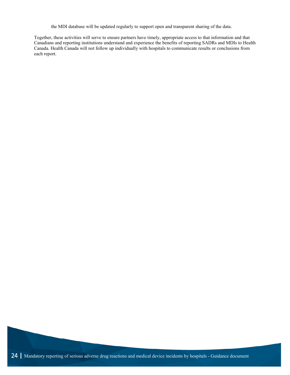the MDI database will be updated regularly to support open and transparent sharing of the data.

Together, these activities will serve to ensure partners have timely, appropriate access to that information and that Canadians and reporting institutions understand and experience the benefits of reporting SADRs and MDIs to Health Canada. Health Canada will not follow up individually with hospitals to communicate results or conclusions from each report.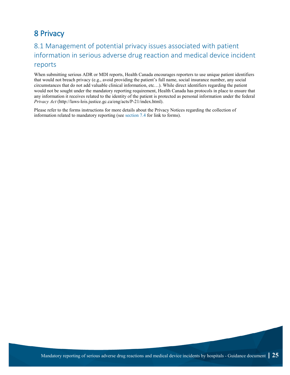## <span id="page-30-0"></span>8 Privacy

### <span id="page-30-1"></span>8.1 Management of potential privacy issues associated with patient information in serious adverse drug reaction and medical device incident reports

When submitting serious ADR or MDI reports, Health Canada encourages reporters to use unique patient identifiers that would not breach privacy (e.g., avoid providing the patient's full name, social insurance number, any social circumstances that do not add valuable clinical information, etc…). While direct identifiers regarding the patient would not be sought under the mandatory reporting requirement, Health Canada has protocols in place to ensure that any information it receives related to the identity of the patient is protected as personal information under the federal *Privacy Act* [\(http://laws-lois.justice.gc.ca/eng/acts/P-21/index.html\)](http://laws-lois.justice.gc.ca/eng/acts/P-21/index.html).

Please refer to the forms instructions for more details about the Privacy Notices regarding the collection of information related to mandatory reporting (se[e section 7.4](#page-27-0) for link to forms).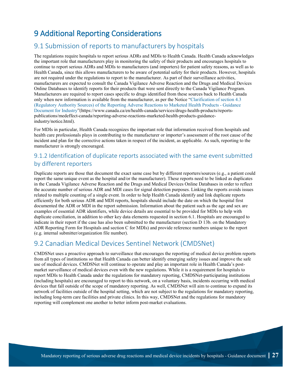## <span id="page-32-0"></span>9 Additional Reporting Considerations

### <span id="page-32-1"></span>9.1 Submission of reports to manufacturers by hospitals

The regulations require hospitals to report serious ADRs and MDIs to Health Canada. Health Canada acknowledges the important role that manufacturers play in monitoring the safety of their products and encourages hospitals to continue to report serious ADRs and MDIs to manufacturers (and importers) for patient safety reasons, as well as to Health Canada, since this allows manufacturers to be aware of potential safety for their products. However, hospitals are not required under the regulations to report to the manufacturer. As part of their surveillance activities, manufacturers are expected to consult the Canada Vigilance Adverse Reaction and the Drugs and Medical Devices Online Databases to identify reports for their products that were sent directly to the Canada Vigilance Program. Manufacturers are required to report cases specific to drugs identified from these sources back to Health Canada only when new information is available from the manufacturer, as per the Notice ["Clarification of section 4.3](https://www.canada.ca/en/health-canada/services/drugs-health-products/reports-publications/medeffect-canada/reporting-adverse-reactions-marketed-health-products-guidance-industry/notice.html)  [\(Regulatory Authority Sources\) of the Reporting Adverse Reactions to Marketed Health Products -](https://www.canada.ca/en/health-canada/services/drugs-health-products/reports-publications/medeffect-canada/reporting-adverse-reactions-marketed-health-products-guidance-industry/notice.html) Guidance [Document for Industry"](https://www.canada.ca/en/health-canada/services/drugs-health-products/reports-publications/medeffect-canada/reporting-adverse-reactions-marketed-health-products-guidance-industry/notice.html)(https://www.canada.ca/en/health-canada/services/drugs-health-products/reportspublications/medeffect-canada/reporting-adverse-reactions-marketed-health-products-guidanceindustry/notice.html).

For MDIs in particular, Health Canada recognizes the important role that information received from hospitals and health care professionals plays in contributing to the manufacturer or importer's assessment of the root cause of the incident and plan for the corrective actions taken in respect of the incident, as applicable. As such, reporting to the manufacturer is strongly encouraged.

#### <span id="page-32-2"></span>9.1.2 Identification of duplicate reports associated with the same event submitted by different reporters

Duplicate reports are those that document the exact same case but by different reporters/sources (e.g., a patient could report the same unique event as the hospital and/or the manufacturer). These reports need to be linked as duplicates in the Canada Vigilance Adverse Reaction and the Drugs and Medical Devices Online Databases in order to reflect the accurate number of serious ADR and MDI cases for signal detection purposes. Linking the reports avoids issues related to multiple counting of a single event. In order to help Health Canada identify and link duplicate reports efficiently for both serious ADR and MDI reports, hospitals should include the date on which the hospital first documented the ADR or MDI in the report submission. Information about the patient such as the age and sex are examples of essential ADR identifiers, while device details are essential to be provided for MDIs to help with duplicate conciliation, in addition to other key data elements requested in section 6.1. Hospitals are encouraged to indicate in their report if the case has also been submitted to the manufacturer (section D 13b. on the Mandatory ADR Reporting Form for Hospitals and section C for MDIs) and provide reference numbers unique to the report (e.g. internal submitter/organization file number).

#### <span id="page-32-3"></span>9.2 Canadian Medical Devices Sentinel Network (CMDSNet)

CMDSNet uses a proactive approach to surveillance that encourages the reporting of medical device problem reports from all types of institutions so that Health Canada can better identify emerging safety issues and improve the safe use of medical devices. CMDSNet will continue to operate and play an important role in Health Canada's postmarket surveillance of medical devices even with the new regulations. While it is a requirement for hospitals to report MDIs to Health Canada under the regulations for mandatory reporting, CMDSNet-participating institutions (including hospitals) are encouraged to report to this network, on a voluntary basis, incidents occurring with medical devices that fall outside of the scope of mandatory reporting. As well, CMDSNet will aim to continue to expand its network of facilities outside of the hospital setting, which are not subject to the regulations for mandatory reporting, including long-term care facilities and private clinics. In this way, CMDSNet and the regulations for mandatory reporting will complement one another to better inform post-market evaluations.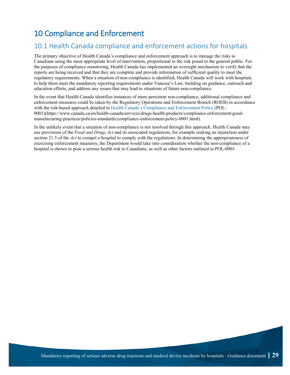## <span id="page-34-0"></span>10 Compliance and Enforcement

### <span id="page-34-1"></span>10.1 Health Canada compliance and enforcement actions for hospitals

The primary objective of Health Canada's compliance and enforcement approach is to manage the risks to Canadians using the most appropriate level of intervention, proportional to the risk posed to the general public. For the purposes of compliance monitoring, Health Canada has implemented an oversight mechanism to verify that the reports are being received and that they are complete and provide information of sufficient quality to meet the regulatory requirements. When a situation of non-compliance is identified, Health Canada will work with hospitals to help them meet the mandatory reporting requirements under Vanessa's Law, building on guidance, outreach and education efforts, and address any issues that may lead to situations of future non-compliance.

In the event that Health Canada identifies instances of more persistent non-compliance, additional compliance and enforcement measures could be taken by the Regulatory Operations and Enforcement Branch (ROEB) in accordance with the risk-based approach detailed in [Health Canada's Compliance and Enforcement Policy](https://www.canada.ca/en/health-canada/services/drugs-health-products/compliance-enforcement/good-manufacturing-practices/policies-standards/compliance-enforcement-policy-0001.html) (POL-0001)(https://www.canada.ca/en/health-canada/services/drugs-health-products/compliance-enforcement/goodmanufacturing-practices/policies-standards/compliance-enforcement-policy-0001.html).

In the unlikely event that a situation of non-compliance is not resolved through this approach, Health Canada may use provisions of the *Food and Drugs Act* and its associated regulations, for example seeking an injunction under section 21.5 of the *Act* to compel a hospital to comply with the regulations. In determining the appropriateness of exercising enforcement measures, the Department would take into consideration whether the non-compliance of a hospital is shown to pose a serious health risk to Canadians, as well as other factors outlined in POL-0001.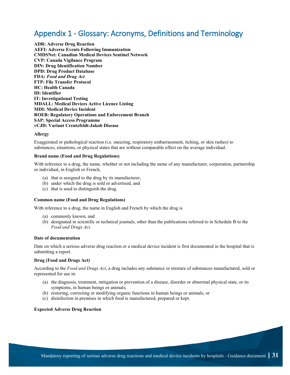## <span id="page-36-0"></span>Appendix 1 - Glossary: Acronyms, Definitions and Terminology

**ADR: Adverse Drug Reaction AEFI: Adverse Events Following Immunization CMDSNet: Canadian Medical Devices Sentinel Network CVP: Canada Vigilance Program DIN: Drug Identification Number DPD: Drug Product Database FDA:** *Food and Drug Act* **FTP: File Transfer Protocol HC: Health Canada ID: Identifier IT: Investigational Testing MDALL: Medical Devices Active Licence Listing MDI: Medical Device Incident ROEB: Regulatory Operations and Enforcement Branch SAP: Special Access Programme vCJD: Variant Creutzfeldt-Jakob Disease**

#### **Allergy**

Exaggerated or pathological reaction (i.e. sneezing, respiratory embarrassment, itching, or skin rashes) to substances, situations, or physical states that are without comparable effect on the average individual.

#### **Brand name (Food and Drug Regulations)**

With reference to a drug, the name, whether or not including the name of any manufacturer, corporation, partnership or individual, in English or French,

- (a) that is assigned to the drug by its manufacturer,
- (b) under which the drug is sold or advertised, and
- (c) that is used to distinguish the drug.

#### **Common name (Food and Drug Regulations)**

With reference to a drug, the name in English and French by which the drug is

- (a) commonly known, and
- (b) designated in scientific or technical journals, other than the publications referred to in Schedule B to the *Food and Drugs Act*.

#### **Date of documentation**

Date on which a serious adverse drug reaction or a medical device incident is first documented in the hospital that is submitting a report.

#### **Drug (Food and Drugs Act)**

According to the *Food and Drugs Act*, a drug includes any substance or mixture of substances manufactured, sold or represented for use in:

- (a) the diagnosis, treatment, mitigation or prevention of a disease, disorder or abnormal physical state, or its symptoms, in human beings or animals,
- (b) restoring, correcting or modifying organic functions in human beings or animals, or
- (c) disinfection in premises in which food is manufactured, prepared or kept.

#### **Expected Adverse Drug Reaction**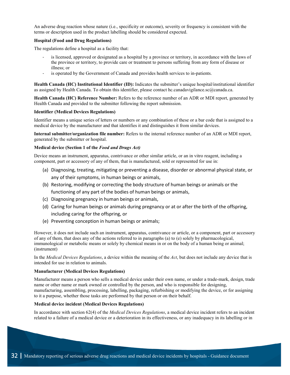An adverse drug reaction whose nature (i.e., specificity or outcome), severity or frequency is consistent with the terms or description used in the product labelling should be considered expected.

#### **Hospital (Food and Drug Regulations)**

The regulations define a hospital as a facility that:

- is licensed, approved or designated as a hospital by a province or territory, in accordance with the laws of the province or territory, to provide care or treatment to persons suffering from any form of disease or illness; or
- is operated by the Government of Canada and provides health services to in-patients.

**Health Canada (HC) Institutional Identifier (ID):** Indicates the submitter's unique hospital/institutional identifier as assigned by Health Canada. To obtain this identifier, please contact hc.canadavigilance.sc@canada.ca.

**Health Canada (HC) Reference Number:** Refers to the reference number of an ADR or MDI report, generated by Health Canada and provided to the submitter following the report submission.

#### **Identifier (Medical Devices Regulations)**

Identifier means a unique series of letters or numbers or any combination of these or a bar code that is assigned to a medical device by the manufacturer and that identifies it and distinguishes it from similar devices.

**Internal submitter/organization file number:** Refers to the internal reference number of an ADR or MDI report, generated by the submitter or hospital.

#### **Medical device (Section 1 of the** *Food and Drugs Act)*

Device means an instrument, apparatus, contrivance or other similar article, or an in vitro reagent, including a component, part or accessory of any of them, that is manufactured, sold or represented for use in:

- (a) Diagnosing, treating, mitigating or preventing a disease, disorder or abnormal physical state, or any of their symptoms, in human beings or animals,
- (b) Restoring, modifying or correcting the body structure of human beings or animals or the functioning of any part of the bodies of human beings or animals,
- (c) Diagnosing pregnancy in human beings or animals,
- (d) Caring for human beings or animals during pregnancy or at or after the birth of the offspring, including caring for the offspring, or
- (e) Preventing conception in human beings or animals;

However, it does not include such an instrument, apparatus, contrivance or article, or a component, part or accessory of any of them, that does any of the actions referred to in paragraphs (a) to (e) solely by pharmacological, immunological or metabolic means or solely by chemical means in or on the body of a human being or animal; (instrument)

In the *Medical Devices Regulations*, a device within the meaning of the *Act*, but does not include any device that is intended for use in relation to animals.

#### **Manufacturer (Medical Devices Regulations)**

Manufacturer means a person who sells a medical device under their own name, or under a trade-mark, design, trade name or other name or mark owned or controlled by the person, and who is responsible for designing, manufacturing, assembling, processing, labelling, packaging, refurbishing or modifying the device, or for assigning to it a purpose, whether those tasks are performed by that person or on their behalf.

#### **Medical device incident (Medical Devices Regulations)**

In accordance with section 62(4) of the *Medical Devices Regulations*, a medical device incident refers to an incident related to a failure of a medical device or a deterioration in its effectiveness, or any inadequacy in its labelling or in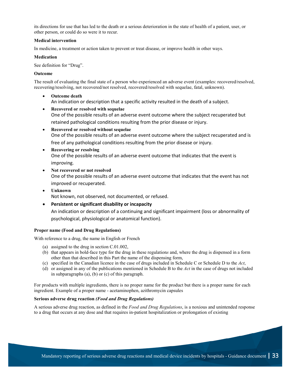its directions for use that has led to the death or a serious deterioration in the state of health of a patient, user, or other person, or could do so were it to recur.

#### **Medical intervention**

In medicine, a treatment or action taken to prevent or treat disease, or improve health in other ways.

#### **Medication**

See definition for "Drug".

#### **Outcome**

The result of evaluating the final state of a person who experienced an adverse event (examples: recovered/resolved, recovering/resolving, not recovered/not resolved, recovered/resolved with sequelae, fatal, unknown).

- **Outcome death** An indication or description that a specific activity resulted in the death of a subject.
- **Recovered or resolved with sequelae** One of the possible results of an adverse event outcome where the subject recuperated but retained pathological conditions resulting from the prior disease or injury.
- **Recovered or resolved without sequelae** One of the possible results of an adverse event outcome where the subject recuperated and is free of any pathological conditions resulting from the prior disease or injury.
- **Recovering or resolving** One of the possible results of an adverse event outcome that indicates that the event is improving.
- **Not recovered or not resolved** One of the possible results of an adverse event outcome that indicates that the event has not improved or recuperated.
- **Unknown** Not known, not observed, not documented, or refused.
- **Persistent or significant disability or incapacity** An indication or description of a continuing and significant impairment (loss or abnormality of psychological, physiological or anatomical function).

#### **Proper name (Food and Drug Regulations)**

With reference to a drug, the name in English or French

- (a) assigned to the drug in section C.01.002,
- (b) that appears in bold-face type for the drug in these regulation*s* and, where the drug is dispensed in a form other than that described in this Part the name of the dispensing form,
- (c) specified in the Canadian licence in the case of drugs included in Schedule C or Schedule D to the *Act*,
- (d) or assigned in any of the publications mentioned in Schedule B to the *Act* in the case of drugs not included in subparagraphs (a), (b) or (c) of this paragraph.

For products with multiple ingredients, there is no proper name for the product but there is a proper name for each ingredient. Example of a proper name - acetaminophen, azithromycin capsules

#### **Serious adverse drug reaction** *(Food and Drug Regulations)*

A serious adverse drug reaction, as defined in the *Food and Drug Regulations*, is a noxious and unintended response to a drug that occurs at any dose and that requires in-patient hospitalization or prolongation of existing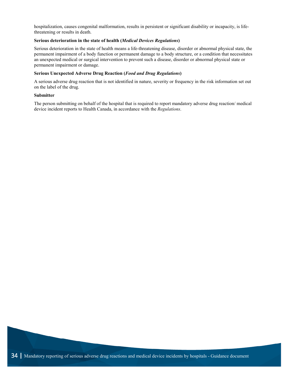hospitalization, causes congenital malformation, results in persistent or significant disability or incapacity, is lifethreatening or results in death.

#### **Serious deterioration in the state of health (***Medical Devices Regulations***)**

Serious deterioration in the state of health means a life-threatening disease, disorder or abnormal physical state, the permanent impairment of a body function or permanent damage to a body structure, or a condition that necessitates an unexpected medical or surgical intervention to prevent such a disease, disorder or abnormal physical state or permanent impairment or damage.

#### **Serious Unexpected Adverse Drug Reaction (***Food and Drug Regulations***)**

A serious adverse drug reaction that is not identified in nature, severity or frequency in the risk information set out on the label of the drug.

#### **Submitter**

<span id="page-39-0"></span>The person submitting on behalf of the hospital that is required to report mandatory adverse drug reaction/ medical device incident reports to Health Canada, in accordance with the *Regulations*.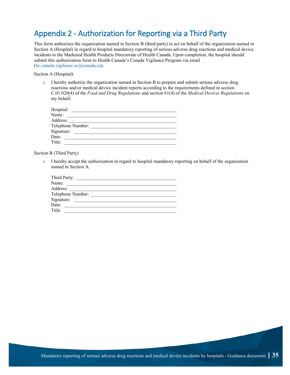## <span id="page-40-0"></span>Appendix 2 - Authorization for Reporting via a Third Party

This form authorizes the organization named in Section B (third party) to act on behalf of the organization named in Section A (Hospital) in regard to hospital mandatory reporting of serious adverse drug reactions and medical device incidents to the Marketed Health Products Directorate of Health Canada. Upon completion, the hospital should submit this authorization form to Health Canada's Canada Vigilance Program via email [\(hc.canada.vigilance.sc@canada.ca\)](mailto:hc.canada.vigilance.sc@canada.ca).

#### Section A (Hospital)

o I hereby authorize the organization named in Section B to prepare and submit serious adverse drug reactions and/or medical device incident reports according to the requirements defined in section C.01.020(4) of the *Food and Drug Regulations* and section 61(4) of the *Medical Devices Regulations* on my behalf.

| Hospital:         |  |
|-------------------|--|
| Name:             |  |
| Address:          |  |
| Telephone Number: |  |
| Signature:        |  |
| Date:             |  |
| Title:            |  |

Section B (Third Party)

o I hereby accept the authorization in regard to hospital mandatory reporting on behalf of the organization named in Section A.

<span id="page-40-1"></span>

| Third Party:      |  |
|-------------------|--|
| Name:             |  |
| Address:          |  |
| Telephone Number: |  |
| Signature:        |  |
| Date:             |  |
| Title:            |  |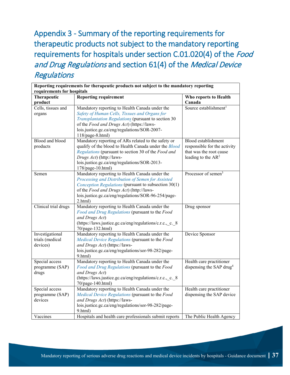<span id="page-42-0"></span>Appendix 3 - Summary of the reporting requirements for therapeutic products not subject to the mandatory reporting requirements for hospitals under section C.01.020(4) of the Food and Drug Regulations and section 61(4) of the Medical Device **Regulations** 

| requirements for hospitals<br>Therapeutic<br>product | <b>Reporting requirement</b>                                                                      | Who reports to Health<br>Canada                                  |
|------------------------------------------------------|---------------------------------------------------------------------------------------------------|------------------------------------------------------------------|
| Cells, tissues and                                   | Mandatory reporting to Health Canada under the                                                    | Source establishment <sup>1</sup>                                |
| organs                                               | Safety of Human Cells, Tissues and Organs for                                                     |                                                                  |
|                                                      | Transplantation Regulations (pursuant to section 30                                               |                                                                  |
|                                                      | of the Food and Drugs Act) (https://laws-                                                         |                                                                  |
|                                                      | lois.justice.gc.ca/eng/regulations/SOR-2007-                                                      |                                                                  |
|                                                      | 118/page-8.html)                                                                                  |                                                                  |
| Blood and blood                                      | Mandatory reporting of ARs related to the safety or                                               | Blood establishment                                              |
| products                                             | qualify of the blood to Health Canada under the Blood                                             | responsible for the activity                                     |
|                                                      | Regulations (pursuant to section 30 of the Food and                                               | that was the root cause                                          |
|                                                      | Drugs Act) (http://laws-                                                                          | leading to the $AR^2$                                            |
|                                                      | lois.justice.gc.ca/eng/regulations/SOR-2013-                                                      |                                                                  |
| Semen                                                | 178/page-10.html)<br>Mandatory reporting to Health Canada under the                               | Processor of semen <sup>3</sup>                                  |
|                                                      | Processing and Distribution of Semen for Assisted                                                 |                                                                  |
|                                                      | Conception Regulations (pursuant to subsection 30(1)                                              |                                                                  |
|                                                      | of the Food and Drugs Act) (http://laws-                                                          |                                                                  |
|                                                      | lois.justice.gc.ca/eng/regulations/SOR-96-254/page-                                               |                                                                  |
|                                                      | 2.html)                                                                                           |                                                                  |
| Clinical trial drugs                                 | Mandatory reporting to Health Canada under the                                                    | Drug sponsor                                                     |
|                                                      | Food and Drug Regulations (pursuant to the Food                                                   |                                                                  |
|                                                      | and Drugs Act)                                                                                    |                                                                  |
|                                                      | (https://laws.justice.gc.ca/eng/regulations/c.r.c., c. 8                                          |                                                                  |
|                                                      | 70/page-132.html)                                                                                 |                                                                  |
| Investigational                                      | Mandatory reporting to Health Canada under the                                                    | Device Sponsor                                                   |
| trials (medical                                      | Medical Device Regulations (pursuant to the Food                                                  |                                                                  |
| devices)                                             | and Drugs Act) (https://laws-                                                                     |                                                                  |
|                                                      | lois.justice.gc.ca/eng/regulations/sor-98-282/page-                                               |                                                                  |
| Special access                                       | 9.html)                                                                                           |                                                                  |
| programme (SAP)                                      | Mandatory reporting to Health Canada under the<br>Food and Drug Regulations (pursuant to the Food | Health care practitioner<br>dispensing the SAP drug <sup>4</sup> |
| drugs                                                | and Drugs Act)                                                                                    |                                                                  |
|                                                      | (https://laws.justice.gc.ca/eng/regulations/c.r.c.,_c._8                                          |                                                                  |
|                                                      | 70/page-140.html)                                                                                 |                                                                  |
| Special access                                       | Mandatory reporting to Health Canada under the                                                    | Health care practitioner                                         |
| programme (SAP)                                      | Medical Device Regulations (pursuant to the Food                                                  | dispensing the SAP device                                        |
| devices                                              | and Drugs Act) (https://laws-                                                                     |                                                                  |
|                                                      | lois.justice.gc.ca/eng/regulations/sor-98-282/page-                                               |                                                                  |
|                                                      | 9.html)                                                                                           |                                                                  |
| Vaccines                                             | Hospitals and health care professionals submit reports                                            | The Public Health Agency                                         |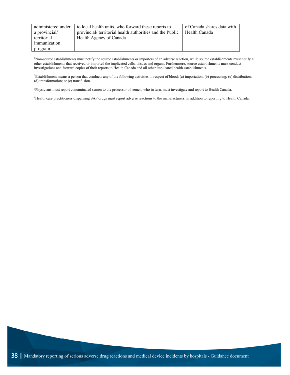| administered under | to local health units, who forward these reports to       | of Canada shares data with |
|--------------------|-----------------------------------------------------------|----------------------------|
| a provincial/      | provincial/ territorial health authorities and the Public | Health Canada              |
| territorial        | Health Agency of Canada                                   |                            |
| immunization       |                                                           |                            |
| program            |                                                           |                            |

1 Non-source establishments must notify the source establishments or importers of an adverse reaction, while source establishments must notify all other establishments that received or imported the implicated cells, tissues and organs. Furthermore, source establishments must conduct investigations and forward copies of their reports to Health Canada and all other implicated health establishments.

2 Establishment means a person that conducts any of the following activities in respect of blood: (a) importation; (b) processing; (c) distribution; (d) transformation; or (e) transfusion.

3 Physicians must report contaminated semen to the processor of semen, who in turn, must investigate and report to Health Canada.

4 Health care practitioners dispensing SAP drugs must report adverse reactions to the manufacturers, in addition to reporting to Health Canada.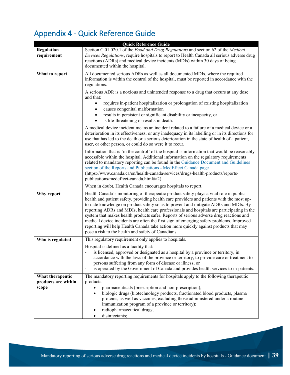## <span id="page-44-0"></span>Appendix 4 - Quick Reference Guide

| <b>Quick Reference Guide</b>     |                                                                                                                                                                                                                                                                                                                                                                                                                                                                                                                                                                                                                                                                                                           |  |
|----------------------------------|-----------------------------------------------------------------------------------------------------------------------------------------------------------------------------------------------------------------------------------------------------------------------------------------------------------------------------------------------------------------------------------------------------------------------------------------------------------------------------------------------------------------------------------------------------------------------------------------------------------------------------------------------------------------------------------------------------------|--|
| <b>Regulation</b><br>requirement | Section C.01.020.1 of the Food and Drug Regulations and section 62 of the Medical<br>Devices Regulations, require hospitals to report to Health Canada all serious adverse drug<br>reactions (ADRs) and medical device incidents (MDIs) within 30 days of being<br>documented within the hospital.                                                                                                                                                                                                                                                                                                                                                                                                        |  |
| What to report                   | All documented serious ADRs as well as all documented MDIs, where the required<br>information is within the control of the hospital, must be reported in accordance with the<br>regulations.                                                                                                                                                                                                                                                                                                                                                                                                                                                                                                              |  |
|                                  | A serious ADR is a noxious and unintended response to a drug that occurs at any dose<br>and that:                                                                                                                                                                                                                                                                                                                                                                                                                                                                                                                                                                                                         |  |
|                                  | requires in-patient hospitalization or prolongation of existing hospitalization<br>causes congenital malformation<br>results in persistent or significant disability or incapacity, or                                                                                                                                                                                                                                                                                                                                                                                                                                                                                                                    |  |
|                                  | is life-threatening or results in death.<br>$\bullet$                                                                                                                                                                                                                                                                                                                                                                                                                                                                                                                                                                                                                                                     |  |
|                                  | A medical device incident means an incident related to a failure of a medical device or a<br>deterioration in its effectiveness, or any inadequacy in its labelling or in its directions for<br>use that has led to the death or a serious deterioration in the state of health of a patient,<br>user, or other person, or could do so were it to recur.                                                                                                                                                                                                                                                                                                                                                  |  |
|                                  | Information that is 'in the control' of the hospital is information that would be reasonably<br>accessible within the hospital. Additional information on the regulatory requirements<br>related to mandatory reporting can be found in the Guidance Document and Guidelines<br>section of the Reports and Publications - MedEffect Canada page<br>(https://www.canada.ca/en/health-canada/services/drugs-health-products/reports-<br>publications/medeffect-canada.html#a2).                                                                                                                                                                                                                             |  |
|                                  | When in doubt, Health Canada encourages hospitals to report.                                                                                                                                                                                                                                                                                                                                                                                                                                                                                                                                                                                                                                              |  |
| Why report                       | Health Canada's monitoring of therapeutic product safety plays a vital role in public<br>health and patient safety, providing health care providers and patients with the most up-<br>to-date knowledge on product safety so as to prevent and mitigate ADRs and MDIs. By<br>reporting ADRs and MDIs, health care professionals and hospitals are participating in the<br>system that makes health products safer. Reports of serious adverse drug reactions and<br>medical device incidents are often the first sign of emerging safety problems. Improved<br>reporting will help Health Canada take action more quickly against products that may<br>pose a risk to the health and safety of Canadians. |  |
| Who is regulated                 | This regulatory requirement only applies to hospitals.                                                                                                                                                                                                                                                                                                                                                                                                                                                                                                                                                                                                                                                    |  |
|                                  | Hospital is defined as a facility that:<br>is licensed, approved or designated as a hospital by a province or territory, in<br>accordance with the laws of the province or territory, to provide care or treatment to<br>persons suffering from any form of disease or illness; or<br>is operated by the Government of Canada and provides health services to in-patients.<br>-                                                                                                                                                                                                                                                                                                                           |  |
| What therapeutic                 | The mandatory reporting requirements for hospitals apply to the following therapeutic                                                                                                                                                                                                                                                                                                                                                                                                                                                                                                                                                                                                                     |  |
| products are within<br>scope     | products:<br>pharmaceuticals (prescription and non-prescription);<br>biologic drugs (biotechnology products, fractionated blood products, plasma<br>proteins, as well as vaccines, excluding those administered under a routine<br>immunization program of a province or territory);<br>radiopharmaceutical drugs;<br>disinfectants;                                                                                                                                                                                                                                                                                                                                                                      |  |